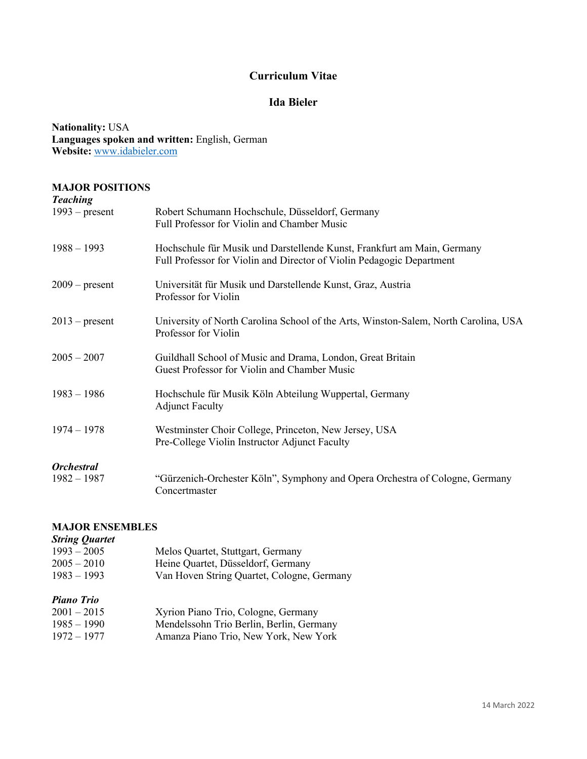## **Curriculum Vitae**

## **Ida Bieler**

**Nationality:** USA **Languages spoken and written:** English, German **Website:** www.idabieler.com

## **MAJOR POSITIONS**

| <b>Teaching</b>          |                                                                                                                                                  |
|--------------------------|--------------------------------------------------------------------------------------------------------------------------------------------------|
| $1993$ – present         | Robert Schumann Hochschule, Düsseldorf, Germany<br>Full Professor for Violin and Chamber Music                                                   |
| $1988 - 1993$            | Hochschule für Musik und Darstellende Kunst, Frankfurt am Main, Germany<br>Full Professor for Violin and Director of Violin Pedagogic Department |
| $2009$ – present         | Universität für Musik und Darstellende Kunst, Graz, Austria<br>Professor for Violin                                                              |
| $2013$ – present         | University of North Carolina School of the Arts, Winston-Salem, North Carolina, USA<br>Professor for Violin                                      |
| $2005 - 2007$            | Guildhall School of Music and Drama, London, Great Britain<br>Guest Professor for Violin and Chamber Music                                       |
| $1983 - 1986$            | Hochschule für Musik Köln Abteilung Wuppertal, Germany<br><b>Adjunct Faculty</b>                                                                 |
| $1974 - 1978$            | Westminster Choir College, Princeton, New Jersey, USA<br>Pre-College Violin Instructor Adjunct Faculty                                           |
| <i><b>Orchestral</b></i> |                                                                                                                                                  |
| $1982 - 1987$            | "Gürzenich-Orchester Köln", Symphony and Opera Orchestra of Cologne, Germany<br>Concertmaster                                                    |

## **MAJOR ENSEMBLES**

## *String Quartet*  1993 Melos Quartet, Stuttgart, Germany

| $\cdots$                                                             | welco Camter, Dianguit, Semmany                                                                                          |
|----------------------------------------------------------------------|--------------------------------------------------------------------------------------------------------------------------|
| $2005 - 2010$                                                        | Heine Quartet, Düsseldorf, Germany                                                                                       |
| $1983 - 1993$                                                        | Van Hoven String Quartet, Cologne, Germany                                                                               |
| <b>Piano Trio</b><br>$2001 - 2015$<br>$1985 - 1990$<br>$1972 - 1977$ | Xyrion Piano Trio, Cologne, Germany<br>Mendelssohn Trio Berlin, Berlin, Germany<br>Amanza Piano Trio, New York, New York |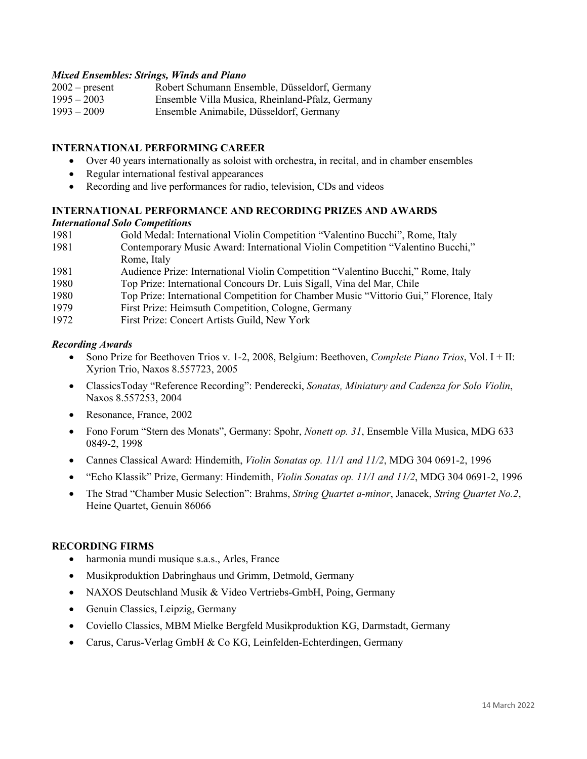#### *Mixed Ensembles: Strings, Winds and Piano*

- 2002 present Robert Schumann Ensemble, Düsseldorf, Germany
- 1995 2003 Ensemble Villa Musica, Rheinland-Pfalz, Germany
- Ensemble Animabile, Düsseldorf, Germany

### **INTERNATIONAL PERFORMING CAREER**

- Over 40 years internationally as soloist with orchestra, in recital, and in chamber ensembles
- Regular international festival appearances
- Recording and live performances for radio, television, CDs and videos

## **INTERNATIONAL PERFORMANCE AND RECORDING PRIZES AND AWARDS**

## *International Solo Competitions*

| 1981 | Gold Medal: International Violin Competition "Valentino Bucchi", Rome, Italy     |
|------|----------------------------------------------------------------------------------|
| 1981 | Contemporary Music Award: International Violin Competition "Valentino Bucchi,"   |
|      | Rome, Italy                                                                      |
| 1981 | Audience Prize: International Violin Competition "Valentino Bucchi," Rome, Italy |
| 1980 | Top Prize: International Concours Dr. Luis Sigall, Vina del Mar, Chile           |

- 1980 Top Prize: International Competition for Chamber Music "Vittorio Gui," Florence, Italy
- 1979 First Prize: Heimsuth Competition, Cologne, Germany
- 1972 First Prize: Concert Artists Guild, New York

#### *Recording Awards*

- Sono Prize for Beethoven Trios v. 1-2, 2008, Belgium: Beethoven, *Complete Piano Trios*, Vol. I + II: Xyrion Trio, Naxos 8.557723, 2005
- ClassicsToday "Reference Recording": Penderecki, *Sonatas, Miniatury and Cadenza for Solo Violin*, Naxos 8.557253, 2004
- Resonance, France, 2002
- Fono Forum "Stern des Monats", Germany: Spohr, *Nonett op. 31*, Ensemble Villa Musica, MDG 633 0849-2, 1998
- Cannes Classical Award: Hindemith, *Violin Sonatas op. 11/1 and 11/2*, MDG 304 0691-2, 1996
- "Echo Klassik" Prize, Germany: Hindemith, *Violin Sonatas op. 11/1 and 11/2*, MDG 304 0691-2, 1996
- The Strad "Chamber Music Selection": Brahms, *String Quartet a-minor*, Janacek, *String Quartet No.2*, Heine Quartet, Genuin 86066

## **RECORDING FIRMS**

- harmonia mundi musique s.a.s., Arles, France
- Musikproduktion Dabringhaus und Grimm, Detmold, Germany
- NAXOS Deutschland Musik & Video Vertriebs-GmbH, Poing, Germany
- Genuin Classics, Leipzig, Germany
- Coviello Classics, MBM Mielke Bergfeld Musikproduktion KG, Darmstadt, Germany
- Carus, Carus-Verlag GmbH & Co KG, Leinfelden-Echterdingen, Germany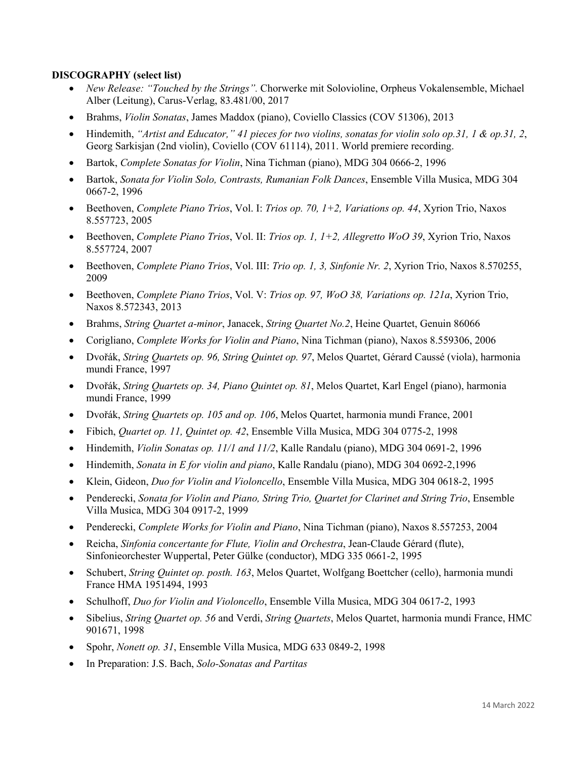## **DISCOGRAPHY (select list)**

- *New Release: "Touched by the Strings".* Chorwerke mit Solovioline, Orpheus Vokalensemble, Michael Alber (Leitung), Carus-Verlag, 83.481/00, 2017
- Brahms, *Violin Sonatas*, James Maddox (piano), Coviello Classics (COV 51306), 2013
- Hindemith, *"Artist and Educator," 41 pieces for two violins, sonatas for violin solo op.31, 1 & op.31, 2*, Georg Sarkisjan (2nd violin), Coviello (COV 61114), 2011. World premiere recording.
- Bartok, *Complete Sonatas for Violin*, Nina Tichman (piano), MDG 304 0666-2, 1996
- Bartok, *Sonata for Violin Solo, Contrasts, Rumanian Folk Dances*, Ensemble Villa Musica, MDG 304 0667-2, 1996
- Beethoven, *Complete Piano Trios*, Vol. I: *Trios op. 70, 1+2, Variations op. 44*, Xyrion Trio, Naxos 8.557723, 2005
- Beethoven, *Complete Piano Trios*, Vol. II: *Trios op. 1, 1+2, Allegretto WoO 39*, Xyrion Trio, Naxos 8.557724, 2007
- Beethoven, *Complete Piano Trios*, Vol. III: *Trio op. 1, 3, Sinfonie Nr. 2*, Xyrion Trio, Naxos 8.570255, 2009
- Beethoven, *Complete Piano Trios*, Vol. V: *Trios op. 97, WoO 38, Variations op. 121a*, Xyrion Trio, Naxos 8.572343, 2013
- Brahms, *String Quartet a-minor*, Janacek, *String Quartet No.2*, Heine Quartet, Genuin 86066
- Corigliano, *Complete Works for Violin and Piano*, Nina Tichman (piano), Naxos 8.559306, 2006
- Dvořák, *String Quartets op. 96, String Quintet op. 97*, Melos Quartet, Gérard Caussé (viola), harmonia mundi France, 1997
- Dvořák, *String Quartets op. 34, Piano Quintet op. 81*, Melos Quartet, Karl Engel (piano), harmonia mundi France, 1999
- Dvořák, *String Quartets op. 105 and op. 106*, Melos Quartet, harmonia mundi France, 2001
- Fibich, *Quartet op. 11, Quintet op. 42*, Ensemble Villa Musica, MDG 304 0775-2, 1998
- Hindemith, *Violin Sonatas op. 11/1 and 11/2*, Kalle Randalu (piano), MDG 304 0691-2, 1996
- Hindemith, *Sonata in E for violin and piano*, Kalle Randalu (piano), MDG 304 0692-2,1996
- Klein, Gideon, *Duo for Violin and Violoncello*, Ensemble Villa Musica, MDG 304 0618-2, 1995
- Penderecki, *Sonata for Violin and Piano, String Trio, Quartet for Clarinet and String Trio*, Ensemble Villa Musica, MDG 304 0917-2, 1999
- Penderecki, *Complete Works for Violin and Piano*, Nina Tichman (piano), Naxos 8.557253, 2004
- Reicha, *Sinfonia concertante for Flute, Violin and Orchestra*, Jean-Claude Gérard (flute), Sinfonieorchester Wuppertal, Peter Gülke (conductor), MDG 335 0661-2, 1995
- Schubert, *String Quintet op. posth. 163*, Melos Quartet, Wolfgang Boettcher (cello), harmonia mundi France HMA 1951494, 1993
- Schulhoff, *Duo for Violin and Violoncello*, Ensemble Villa Musica, MDG 304 0617-2, 1993
- Sibelius, *String Quartet op. 56* and Verdi, *String Quartets*, Melos Quartet, harmonia mundi France, HMC 901671, 1998
- Spohr, *Nonett op. 31*, Ensemble Villa Musica, MDG 633 0849-2, 1998
- In Preparation: J.S. Bach, *Solo-Sonatas and Partitas*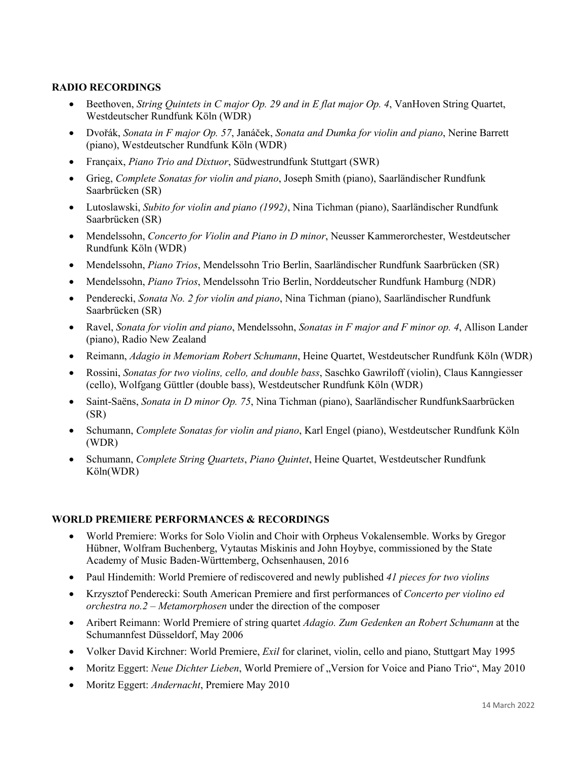## **RADIO RECORDINGS**

- Beethoven, *String Quintets in C major Op. 29 and in E flat major Op. 4*, VanHoven String Quartet, Westdeutscher Rundfunk Köln (WDR)
- Dvořák, *Sonata in F major Op. 57*, Janáček, *Sonata and Dumka for violin and piano*, Nerine Barrett (piano), Westdeutscher Rundfunk Köln (WDR)
- Françaix, *Piano Trio and Dixtuor*, Südwestrundfunk Stuttgart (SWR)
- Grieg, *Complete Sonatas for violin and piano*, Joseph Smith (piano), Saarländischer Rundfunk Saarbrücken (SR)
- Lutoslawski, *Subito for violin and piano (1992)*, Nina Tichman (piano), Saarländischer Rundfunk Saarbrücken (SR)
- Mendelssohn, *Concerto for Violin and Piano in D minor*, Neusser Kammerorchester, Westdeutscher Rundfunk Köln (WDR)
- Mendelssohn, *Piano Trios*, Mendelssohn Trio Berlin, Saarländischer Rundfunk Saarbrücken (SR)
- Mendelssohn, *Piano Trios*, Mendelssohn Trio Berlin, Norddeutscher Rundfunk Hamburg (NDR)
- Penderecki, *Sonata No. 2 for violin and piano*, Nina Tichman (piano), Saarländischer Rundfunk Saarbrücken (SR)
- Ravel, *Sonata for violin and piano*, Mendelssohn, *Sonatas in F major and F minor op. 4*, Allison Lander (piano), Radio New Zealand
- Reimann, *Adagio in Memoriam Robert Schumann*, Heine Quartet, Westdeutscher Rundfunk Köln (WDR)
- Rossini, *Sonatas for two violins, cello, and double bass*, Saschko Gawriloff (violin), Claus Kanngiesser (cello), Wolfgang Güttler (double bass), Westdeutscher Rundfunk Köln (WDR)
- Saint-Saëns, *Sonata in D minor Op. 75*, Nina Tichman (piano), Saarländischer RundfunkSaarbrücken (SR)
- Schumann, *Complete Sonatas for violin and piano*, Karl Engel (piano), Westdeutscher Rundfunk Köln (WDR)
- Schumann, *Complete String Quartets*, *Piano Quintet*, Heine Quartet, Westdeutscher Rundfunk Köln(WDR)

#### **WORLD PREMIERE PERFORMANCES & RECORDINGS**

- World Premiere: Works for Solo Violin and Choir with Orpheus Vokalensemble. Works by Gregor Hübner, Wolfram Buchenberg, Vytautas Miskinis and John Hoybye, commissioned by the State Academy of Music Baden-Württemberg, Ochsenhausen, 2016
- Paul Hindemith: World Premiere of rediscovered and newly published *41 pieces for two violins*
- Krzysztof Penderecki: South American Premiere and first performances of *Concerto per violino ed orchestra no.2 – Metamorphosen* under the direction of the composer
- Aribert Reimann: World Premiere of string quartet *Adagio. Zum Gedenken an Robert Schumann* at the Schumannfest Düsseldorf, May 2006
- Volker David Kirchner: World Premiere, *Exil* for clarinet, violin, cello and piano, Stuttgart May 1995
- Moritz Eggert: *Neue Dichter Lieben*, World Premiere of "Version for Voice and Piano Trio", May 2010
- Moritz Eggert: *Andernacht*, Premiere May 2010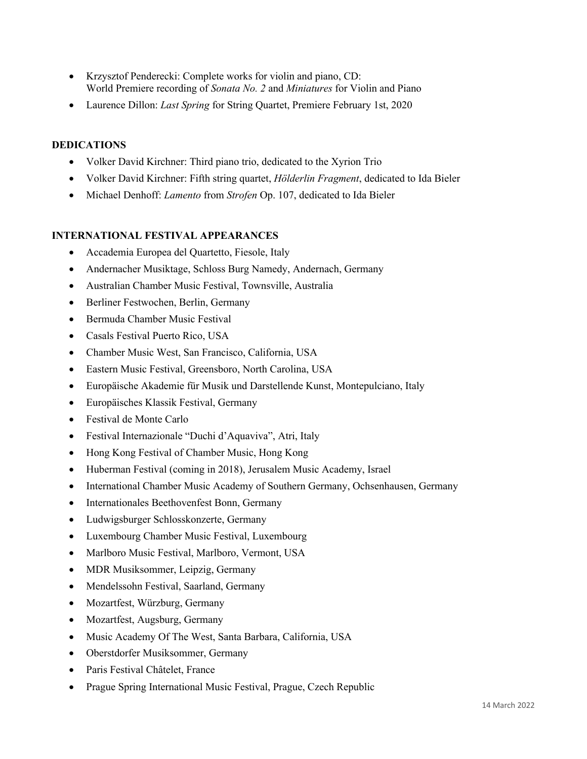- Krzysztof Penderecki: Complete works for violin and piano, CD: World Premiere recording of *Sonata No. 2* and *Miniatures* for Violin and Piano
- Laurence Dillon: *Last Spring* for String Quartet, Premiere February 1st, 2020

## **DEDICATIONS**

- Volker David Kirchner: Third piano trio, dedicated to the Xyrion Trio
- Volker David Kirchner: Fifth string quartet, *Hölderlin Fragment*, dedicated to Ida Bieler
- Michael Denhoff: *Lamento* from *Strofen* Op. 107, dedicated to Ida Bieler

## **INTERNATIONAL FESTIVAL APPEARANCES**

- Accademia Europea del Quartetto, Fiesole, Italy
- Andernacher Musiktage, Schloss Burg Namedy, Andernach, Germany
- Australian Chamber Music Festival, Townsville, Australia
- Berliner Festwochen, Berlin, Germany
- Bermuda Chamber Music Festival
- Casals Festival Puerto Rico, USA
- Chamber Music West, San Francisco, California, USA
- Eastern Music Festival, Greensboro, North Carolina, USA
- Europäische Akademie für Musik und Darstellende Kunst, Montepulciano, Italy
- Europäisches Klassik Festival, Germany
- Festival de Monte Carlo
- Festival Internazionale "Duchi d'Aquaviva", Atri, Italy
- Hong Kong Festival of Chamber Music, Hong Kong
- Huberman Festival (coming in 2018), Jerusalem Music Academy, Israel
- International Chamber Music Academy of Southern Germany, Ochsenhausen, Germany
- Internationales Beethovenfest Bonn, Germany
- Ludwigsburger Schlosskonzerte, Germany
- Luxembourg Chamber Music Festival, Luxembourg
- Marlboro Music Festival, Marlboro, Vermont, USA
- MDR Musiksommer, Leipzig, Germany
- Mendelssohn Festival, Saarland, Germany
- Mozartfest, Würzburg, Germany
- Mozartfest, Augsburg, Germany
- Music Academy Of The West, Santa Barbara, California, USA
- Oberstdorfer Musiksommer, Germany
- Paris Festival Châtelet, France
- Prague Spring International Music Festival, Prague, Czech Republic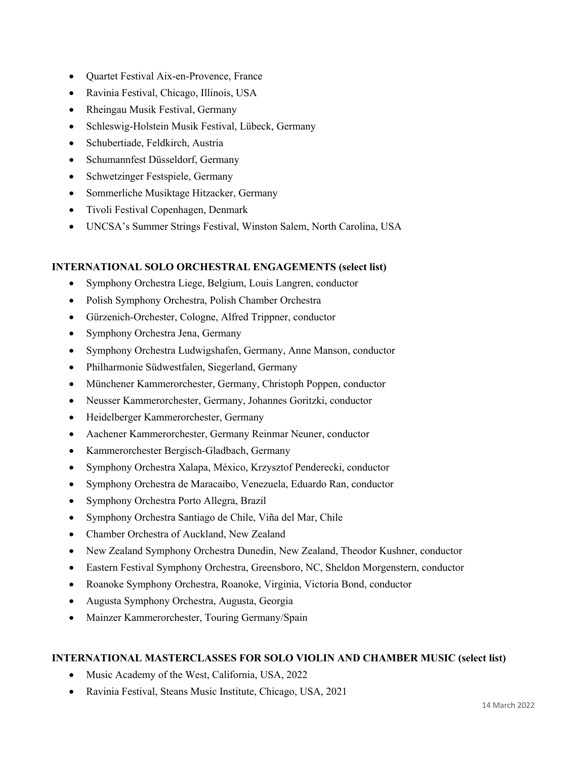- Quartet Festival Aix-en-Provence, France
- Ravinia Festival, Chicago, Illinois, USA
- Rheingau Musik Festival, Germany
- Schleswig-Holstein Musik Festival, Lübeck, Germany
- Schubertiade, Feldkirch, Austria
- Schumannfest Düsseldorf, Germany
- Schwetzinger Festspiele, Germany
- Sommerliche Musiktage Hitzacker, Germany
- Tivoli Festival Copenhagen, Denmark
- UNCSA's Summer Strings Festival, Winston Salem, North Carolina, USA

## **INTERNATIONAL SOLO ORCHESTRAL ENGAGEMENTS (select list)**

- Symphony Orchestra Liege, Belgium, Louis Langren, conductor
- Polish Symphony Orchestra, Polish Chamber Orchestra
- Gürzenich-Orchester, Cologne, Alfred Trippner, conductor
- Symphony Orchestra Jena, Germany
- Symphony Orchestra Ludwigshafen, Germany, Anne Manson, conductor
- Philharmonie Südwestfalen, Siegerland, Germany
- Münchener Kammerorchester, Germany, Christoph Poppen, conductor
- Neusser Kammerorchester, Germany, Johannes Goritzki, conductor
- Heidelberger Kammerorchester, Germany
- Aachener Kammerorchester, Germany Reinmar Neuner, conductor
- Kammerorchester Bergisch-Gladbach, Germany
- Symphony Orchestra Xalapa, México, Krzysztof Penderecki, conductor
- Symphony Orchestra de Maracaibo, Venezuela, Eduardo Ran, conductor
- Symphony Orchestra Porto Allegra, Brazil
- Symphony Orchestra Santiago de Chile, Viña del Mar, Chile
- Chamber Orchestra of Auckland, New Zealand
- New Zealand Symphony Orchestra Dunedin, New Zealand, Theodor Kushner, conductor
- Eastern Festival Symphony Orchestra, Greensboro, NC, Sheldon Morgenstern, conductor
- Roanoke Symphony Orchestra, Roanoke, Virginia, Victoria Bond, conductor
- Augusta Symphony Orchestra, Augusta, Georgia
- Mainzer Kammerorchester, Touring Germany/Spain

#### **INTERNATIONAL MASTERCLASSES FOR SOLO VIOLIN AND CHAMBER MUSIC (select list)**

- Music Academy of the West, California, USA, 2022
- Ravinia Festival, Steans Music Institute, Chicago, USA, 2021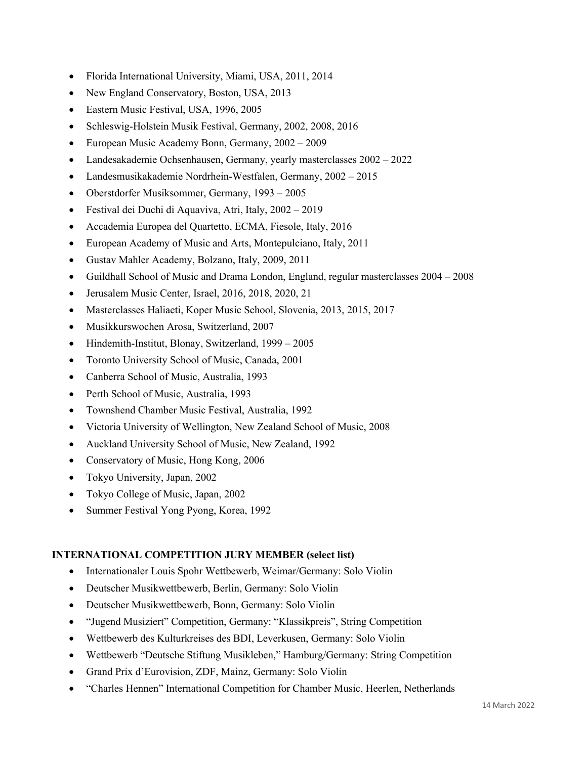- Florida International University, Miami, USA, 2011, 2014
- New England Conservatory, Boston, USA, 2013
- Eastern Music Festival, USA, 1996, 2005
- Schleswig-Holstein Musik Festival, Germany, 2002, 2008, 2016
- European Music Academy Bonn, Germany, 2002 2009
- Landesakademie Ochsenhausen, Germany, yearly masterclasses 2002 2022
- Landesmusikakademie Nordrhein-Westfalen, Germany, 2002 2015
- Oberstdorfer Musiksommer, Germany, 1993 2005
- Festival dei Duchi di Aquaviva, Atri, Italy, 2002 2019
- Accademia Europea del Quartetto, ECMA, Fiesole, Italy, 2016
- European Academy of Music and Arts, Montepulciano, Italy, 2011
- Gustav Mahler Academy, Bolzano, Italy, 2009, 2011
- Guildhall School of Music and Drama London, England, regular masterclasses 2004 2008
- Jerusalem Music Center, Israel, 2016, 2018, 2020, 21
- Masterclasses Haliaeti, Koper Music School, Slovenia, 2013, 2015, 2017
- Musikkurswochen Arosa, Switzerland, 2007
- Hindemith-Institut, Blonay, Switzerland, 1999 2005
- Toronto University School of Music, Canada, 2001
- Canberra School of Music, Australia, 1993
- Perth School of Music, Australia, 1993
- Townshend Chamber Music Festival, Australia, 1992
- Victoria University of Wellington, New Zealand School of Music, 2008
- Auckland University School of Music, New Zealand, 1992
- Conservatory of Music, Hong Kong, 2006
- Tokyo University, Japan, 2002
- Tokyo College of Music, Japan, 2002
- Summer Festival Yong Pyong, Korea, 1992

#### **INTERNATIONAL COMPETITION JURY MEMBER (select list)**

- Internationaler Louis Spohr Wettbewerb, Weimar/Germany: Solo Violin
- Deutscher Musikwettbewerb, Berlin, Germany: Solo Violin
- Deutscher Musikwettbewerb, Bonn, Germany: Solo Violin
- "Jugend Musiziert" Competition, Germany: "Klassikpreis", String Competition
- Wettbewerb des Kulturkreises des BDI, Leverkusen, Germany: Solo Violin
- Wettbewerb "Deutsche Stiftung Musikleben," Hamburg/Germany: String Competition
- Grand Prix d'Eurovision, ZDF, Mainz, Germany: Solo Violin
- "Charles Hennen" International Competition for Chamber Music, Heerlen, Netherlands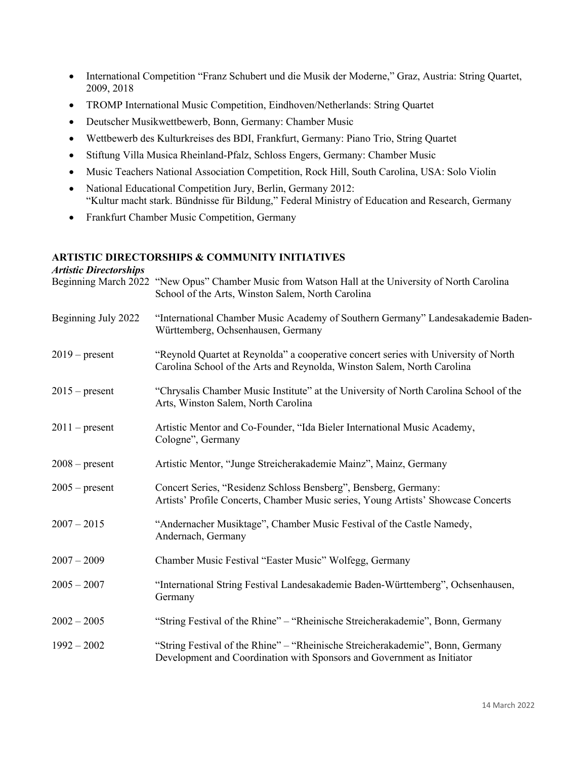- International Competition "Franz Schubert und die Musik der Moderne," Graz, Austria: String Quartet, 2009, 2018
- TROMP International Music Competition, Eindhoven/Netherlands: String Quartet
- Deutscher Musikwettbewerb, Bonn, Germany: Chamber Music
- Wettbewerb des Kulturkreises des BDI, Frankfurt, Germany: Piano Trio, String Quartet
- Stiftung Villa Musica Rheinland-Pfalz, Schloss Engers, Germany: Chamber Music
- Music Teachers National Association Competition, Rock Hill, South Carolina, USA: Solo Violin
- National Educational Competition Jury, Berlin, Germany 2012: "Kultur macht stark. Bündnisse für Bildung," Federal Ministry of Education and Research, Germany
- Frankfurt Chamber Music Competition, Germany

## **ARTISTIC DIRECTORSHIPS & COMMUNITY INITIATIVES**

# *Artistic Directorships*  Beginning March 2022 "New Opus" Chamber Music from Watson Hall at the University of North Carolina School of the Arts, Winston Salem, North Carolina Beginning July 2022 "International Chamber Music Academy of Southern Germany" Landesakademie Baden-Württemberg, Ochsenhausen, Germany 2019 – present "Reynold Quartet at Reynolda" a cooperative concert series with University of North Carolina School of the Arts and Reynolda, Winston Salem, North Carolina 2015 – present "Chrysalis Chamber Music Institute" at the University of North Carolina School of the Arts, Winston Salem, North Carolina 2011 – present Artistic Mentor and Co-Founder, "Ida Bieler International Music Academy, Cologne", Germany 2008 – present Artistic Mentor, "Junge Streicherakademie Mainz", Mainz, Germany 2005 – present Concert Series, "Residenz Schloss Bensberg", Bensberg, Germany: Artists' Profile Concerts, Chamber Music series, Young Artists' Showcase Concerts 2007 – 2015 "Andernacher Musiktage", Chamber Music Festival of the Castle Namedy, Andernach, Germany 2007 – 2009 Chamber Music Festival "Easter Music" Wolfegg, Germany 2005 – 2007 "International String Festival Landesakademie Baden-Württemberg", Ochsenhausen, Germany 2002 – 2005 "String Festival of the Rhine" – "Rheinische Streicherakademie", Bonn, Germany 1992 – 2002 "String Festival of the Rhine" – "Rheinische Streicherakademie", Bonn, Germany Development and Coordination with Sponsors and Government as Initiator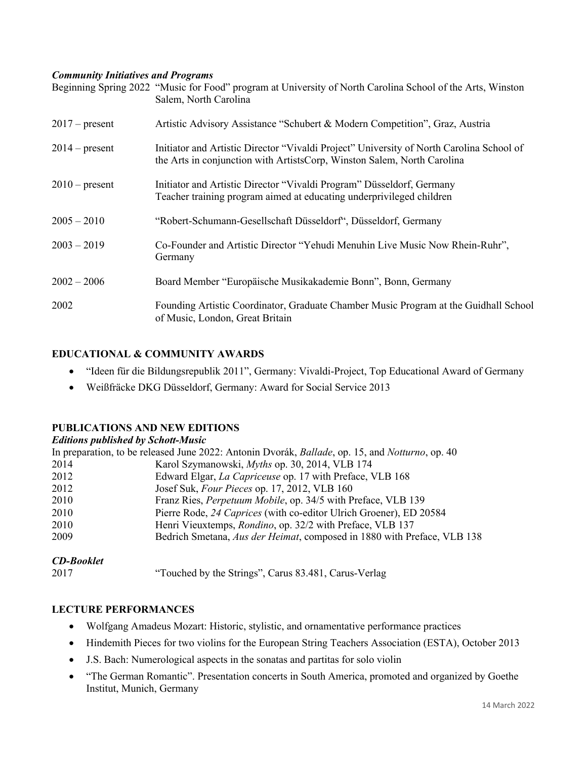### *Community Initiatives and Programs*

|                  | Beginning Spring 2022 "Music for Food" program at University of North Carolina School of the Arts, Winston<br>Salem, North Carolina                                 |
|------------------|---------------------------------------------------------------------------------------------------------------------------------------------------------------------|
| $2017$ – present | Artistic Advisory Assistance "Schubert & Modern Competition", Graz, Austria                                                                                         |
| $2014$ – present | Initiator and Artistic Director "Vivaldi Project" University of North Carolina School of<br>the Arts in conjunction with ArtistsCorp, Winston Salem, North Carolina |
| $2010$ – present | Initiator and Artistic Director "Vivaldi Program" Düsseldorf, Germany<br>Teacher training program aimed at educating underprivileged children                       |
| $2005 - 2010$    | "Robert-Schumann-Gesellschaft Düsseldorf", Düsseldorf, Germany                                                                                                      |
| $2003 - 2019$    | Co-Founder and Artistic Director "Yehudi Menuhin Live Music Now Rhein-Ruhr",<br>Germany                                                                             |
| $2002 - 2006$    | Board Member "Europäische Musikakademie Bonn", Bonn, Germany                                                                                                        |
| 2002             | Founding Artistic Coordinator, Graduate Chamber Music Program at the Guidhall School<br>of Music, London, Great Britain                                             |

## **EDUCATIONAL & COMMUNITY AWARDS**

- "Ideen für die Bildungsrepublik 2011", Germany: Vivaldi-Project, Top Educational Award of Germany
- Weißfräcke DKG Düsseldorf, Germany: Award for Social Service 2013

## **PUBLICATIONS AND NEW EDITIONS**

#### *Editions published by Schott-Music*

|      | In preparation, to be released June 2022: Antonin Dvorák, <i>Ballade</i> , op. 15, and <i>Notturno</i> , op. 40 |
|------|-----------------------------------------------------------------------------------------------------------------|
| 2014 | Karol Szymanowski, <i>Myths</i> op. 30, 2014, VLB 174                                                           |
| 2012 | Edward Elgar, La Capriceuse op. 17 with Preface, VLB 168                                                        |
| 2012 | Josef Suk, Four Pieces op. 17, 2012, VLB 160                                                                    |
| 2010 | Franz Ries, Perpetuum Mobile, op. 34/5 with Preface, VLB 139                                                    |
| 2010 | Pierre Rode, 24 Caprices (with co-editor Ulrich Groener), ED 20584                                              |
| 2010 | Henri Vieuxtemps, Rondino, op. 32/2 with Preface, VLB 137                                                       |
| 2009 | Bedrich Smetana, Aus der Heimat, composed in 1880 with Preface, VLB 138                                         |
|      |                                                                                                                 |

## *CD-Booklet*

2017 "Touched by the Strings", Carus 83.481, Carus-Verlag

## **LECTURE PERFORMANCES**

- Wolfgang Amadeus Mozart: Historic, stylistic, and ornamentative performance practices
- Hindemith Pieces for two violins for the European String Teachers Association (ESTA), October 2013
- J.S. Bach: Numerological aspects in the sonatas and partitas for solo violin
- "The German Romantic". Presentation concerts in South America, promoted and organized by Goethe Institut, Munich, Germany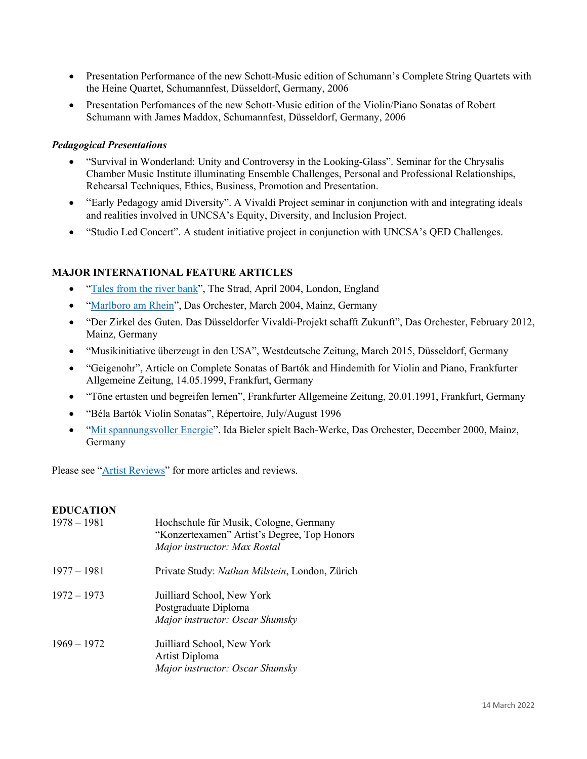- Presentation Performance of the new Schott-Music edition of Schumann's Complete String Quartets with the Heine Quartet, Schumannfest, Düsseldorf, Germany, 2006
- Presentation Perfomances of the new Schott-Music edition of the Violin/Piano Sonatas of Robert Schumann with James Maddox, Schumannfest, Düsseldorf, Germany, 2006

## *Pedagogical Presentations*

- "Survival in Wonderland: Unity and Controversy in the Looking-Glass". Seminar for the Chrysalis Chamber Music Institute illuminating Ensemble Challenges, Personal and Professional Relationships, Rehearsal Techniques, Ethics, Business, Promotion and Presentation.
- "Early Pedagogy amid Diversity". A Vivaldi Project seminar in conjunction with and integrating ideals and realities involved in UNCSA's Equity, Diversity, and Inclusion Project.
- "Studio Led Concert". A student initiative project in conjunction with UNCSA's QED Challenges.

### **MAJOR INTERNATIONAL FEATURE ARTICLES**

- "Tales from the river bank", The Strad, April 2004, London, England
- "Marlboro am Rhein", Das Orchester, March 2004, Mainz, Germany
- "Der Zirkel des Guten. Das Düsseldorfer Vivaldi-Projekt schafft Zukunft", Das Orchester, February 2012, Mainz, Germany
- "Musikinitiative überzeugt in den USA", Westdeutsche Zeitung, March 2015, Düsseldorf, Germany
- "Geigenohr", Article on Complete Sonatas of Bartók and Hindemith for Violin and Piano, Frankfurter Allgemeine Zeitung, 14.05.1999, Frankfurt, Germany
- "Töne ertasten und begreifen lernen", Frankfurter Allgemeine Zeitung, 20.01.1991, Frankfurt, Germany
- "Béla Bartók Violin Sonatas", Répertoire, July/August 1996
- "Mit spannungsvoller Energie". Ida Bieler spielt Bach-Werke, Das Orchester, December 2000, Mainz, Germany

Please see "Artist Reviews" for more articles and reviews.

## **EDUCATION**

| $1978 - 1981$ | Hochschule für Musik, Cologne, Germany<br>"Konzertexamen" Artist's Degree, Top Honors<br>Major instructor: Max Rostal |
|---------------|-----------------------------------------------------------------------------------------------------------------------|
| $1977 - 1981$ | Private Study: Nathan Milstein, London, Zürich                                                                        |
| $1972 - 1973$ | Juilliard School, New York<br>Postgraduate Diploma<br>Major instructor: Oscar Shumsky                                 |
| $1969 - 1972$ | Juilliard School, New York<br>Artist Diploma<br>Major instructor: Oscar Shumsky                                       |